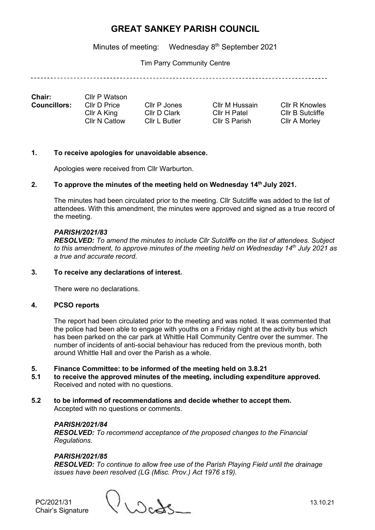Minutes of meeting: Wednesday 8<sup>th</sup> September 2021

Tim Parry Community Centre

| <b>Chair:</b>       | Cllr P Watson |               |                |                  |
|---------------------|---------------|---------------|----------------|------------------|
| <b>Councillors:</b> | Cllr D Price  | Cllr P Jones  | CIIr M Hussain | Cllr R Knowles   |
|                     | Cllr A King   | Cllr D Clark  | Cllr H Patel   | CIIr B Sutcliffe |
|                     | Cllr N Catlow | Cllr L Butler | Cllr S Parish  | Cllr A Morley    |

#### **1. To receive apologies for unavoidable absence.**

Apologies were received from Cllr Warburton.

#### **2. To approve the minutes of the meeting held on Wednesday 14th July 2021.**

The minutes had been circulated prior to the meeting. Cllr Sutcliffe was added to the list of attendees. With this amendment, the minutes were approved and signed as a true record of the meeting.

#### *PARISH/2021/83*

*RESOLVED: To amend the minutes to include Cllr Sutcliffe on the list of attendees. Subject to this amendment, to approve minutes of the meeting held on Wednesday 14 th July 2021 as a true and accurate record.*

#### **3. To receive any declarations of interest.**

There were no declarations.

## **4. PCSO reports**

The report had been circulated prior to the meeting and was noted. It was commented that the police had been able to engage with youths on a Friday night at the activity bus which has been parked on the car park at Whittle Hall Community Centre over the summer. The number of incidents of anti-social behaviour has reduced from the previous month, both around Whittle Hall and over the Parish as a whole.

#### **5. Finance Committee: to be informed of the meeting held on 3.8.21**

- **5.1 to receive the approved minutes of the meeting, including expenditure approved.** Received and noted with no questions.
- **5.2 to be informed of recommendations and decide whether to accept them.** Accepted with no questions or comments.

## *PARISH/2021/84*

*RESOLVED: To recommend acceptance of the proposed changes to the Financial Regulations.*

## *PARISH/2021/85*

*RESOLVED: To continue to allow free use of the Parish Playing Field until the drainage issues have been resolved (LG (Misc. Prov.) Act 1976 s19).*

PC/2021/31 13.10.21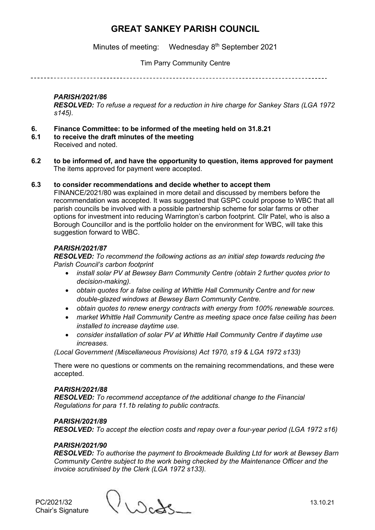Minutes of meeting: Wednesday 8<sup>th</sup> September 2021

# Tim Parry Community Centre

------------------------------

## *PARISH/2021/86*

*RESOLVED: To refuse a request for a reduction in hire charge for Sankey Stars (LGA 1972 s145).*

- **6. Finance Committee: to be informed of the meeting held on 31.8.21**
- **6.1 to receive the draft minutes of the meeting** Received and noted.
- **6.2 to be informed of, and have the opportunity to question, items approved for payment** The items approved for payment were accepted.

#### **6.3 to consider recommendations and decide whether to accept them**

FINANCE/2021/80 was explained in more detail and discussed by members before the recommendation was accepted. It was suggested that GSPC could propose to WBC that all parish councils be involved with a possible partnership scheme for solar farms or other options for investment into reducing Warrington's carbon footprint. Cllr Patel, who is also a Borough Councillor and is the portfolio holder on the environment for WBC, will take this suggestion forward to WBC.

## *PARISH/2021/87*

*RESOLVED: To recommend the following actions as an initial step towards reducing the Parish Council's carbon footprint*

- *install solar PV at Bewsey Barn Community Centre (obtain 2 further quotes prior to decision-making).*
- *obtain quotes for a false ceiling at Whittle Hall Community Centre and for new double-glazed windows at Bewsey Barn Community Centre.*
- *obtain quotes to renew energy contracts with energy from 100% renewable sources.*
- *market Whittle Hall Community Centre as meeting space once false ceiling has been installed to increase daytime use.*
- *consider installation of solar PV at Whittle Hall Community Centre if daytime use increases.*

*(Local Government (Miscellaneous Provisions) Act 1970, s19 & LGA 1972 s133)*

There were no questions or comments on the remaining recommendations, and these were accepted.

#### *PARISH/2021/88*

*RESOLVED: To recommend acceptance of the additional change to the Financial Regulations for para 11.1b relating to public contracts.*

## *PARISH/2021/89*

*RESOLVED: To accept the election costs and repay over a four-year period (LGA 1972 s16)*

#### *PARISH/2021/90*

*RESOLVED: To authorise the payment to Brookmeade Building Ltd for work at Bewsey Barn Community Centre subject to the work being checked by the Maintenance Officer and the invoice scrutinised by the Clerk (LGA 1972 s133).*

PC/2021/32 13.10.21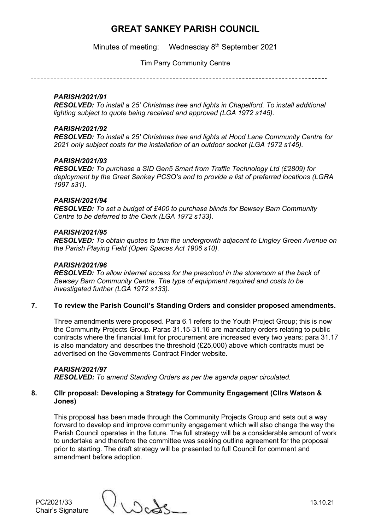Minutes of meeting: Wednesday 8<sup>th</sup> September 2021

Tim Parry Community Centre

#### *PARISH/2021/91*

*RESOLVED: To install a 25' Christmas tree and lights in Chapelford. To install additional lighting subject to quote being received and approved (LGA 1972 s145).*

#### *PARISH/2021/92*

*RESOLVED: To install a 25' Christmas tree and lights at Hood Lane Community Centre for 2021 only subject costs for the installation of an outdoor socket (LGA 1972 s145).*

#### *PARISH/2021/93*

*RESOLVED: To purchase a SID Gen5 Smart from Traffic Technology Ltd (£2809) for deployment by the Great Sankey PCSO's and to provide a list of preferred locations (LGRA 1997 s31)*.

#### *PARISH/2021/94*

*RESOLVED: To set a budget of £400 to purchase blinds for Bewsey Barn Community Centre to be deferred to the Clerk (LGA 1972 s133).*

#### *PARISH/2021/95*

*RESOLVED: To obtain quotes to trim the undergrowth adjacent to Lingley Green Avenue on the Parish Playing Field (Open Spaces Act 1906 s10).*

#### *PARISH/2021/96*

*RESOLVED: To allow internet access for the preschool in the storeroom at the back of Bewsey Barn Community Centre. The type of equipment required and costs to be investigated further (LGA 1972 s133).*

## **7. To review the Parish Council's Standing Orders and consider proposed amendments.**

Three amendments were proposed. Para 6.1 refers to the Youth Project Group; this is now the Community Projects Group. Paras 31.15-31.16 are mandatory orders relating to public contracts where the financial limit for procurement are increased every two years; para 31.17 is also mandatory and describes the threshold (£25,000) above which contracts must be advertised on the Governments Contract Finder website.

## *PARISH/2021/97*

*RESOLVED: To amend Standing Orders as per the agenda paper circulated.*

#### **8. Cllr proposal: Developing a Strategy for Community Engagement (Cllrs Watson & Jones)**

This proposal has been made through the Community Projects Group and sets out a way forward to develop and improve community engagement which will also change the way the Parish Council operates in the future. The full strategy will be a considerable amount of work to undertake and therefore the committee was seeking outline agreement for the proposal prior to starting. The draft strategy will be presented to full Council for comment and amendment before adoption.

PC/2021/33 13.10.21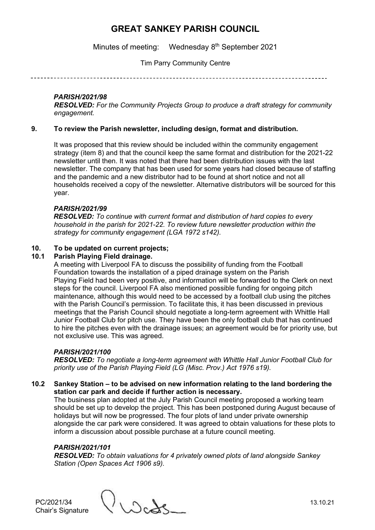Minutes of meeting: Wednesday 8<sup>th</sup> September 2021

Tim Parry Community Centre

# *PARISH/2021/98*

*RESOLVED: For the Community Projects Group to produce a draft strategy for community engagement.*

## **9. To review the Parish newsletter, including design, format and distribution.**

It was proposed that this review should be included within the community engagement strategy (item 8) and that the council keep the same format and distribution for the 2021-22 newsletter until then. It was noted that there had been distribution issues with the last newsletter. The company that has been used for some years had closed because of staffing and the pandemic and a new distributor had to be found at short notice and not all households received a copy of the newsletter. Alternative distributors will be sourced for this year.

## *PARISH/2021/99*

*RESOLVED: To continue with current format and distribution of hard copies to every household in the parish for 2021-22. To review future newsletter production within the strategy for community engagement (LGA 1972 s142).*

# **10. To be updated on current projects;**

# **10.1 Parish Playing Field drainage.**

A meeting with Liverpool FA to discuss the possibility of funding from the Football Foundation towards the installation of a piped drainage system on the Parish Playing Field had been very positive, and information will be forwarded to the Clerk on next steps for the council. Liverpool FA also mentioned possible funding for ongoing pitch maintenance, although this would need to be accessed by a football club using the pitches with the Parish Council's permission. To facilitate this, it has been discussed in previous meetings that the Parish Council should negotiate a long-term agreement with Whittle Hall Junior Football Club for pitch use. They have been the only football club that has continued to hire the pitches even with the drainage issues; an agreement would be for priority use, but not exclusive use. This was agreed.

## *PARISH/2021/100*

*RESOLVED: To negotiate a long-term agreement with Whittle Hall Junior Football Club for priority use of the Parish Playing Field (LG (Misc. Prov.) Act 1976 s19).*

## **10.2 Sankey Station – to be advised on new information relating to the land bordering the station car park and decide if further action is necessary.**

The business plan adopted at the July Parish Council meeting proposed a working team should be set up to develop the project. This has been postponed during August because of holidays but will now be progressed. The four plots of land under private ownership alongside the car park were considered. It was agreed to obtain valuations for these plots to inform a discussion about possible purchase at a future council meeting.

## *PARISH/2021/101*

*RESOLVED: To obtain valuations for 4 privately owned plots of land alongside Sankey Station (Open Spaces Act 1906 s9).*

Chair's Signature

PC/2021/34 13.10.21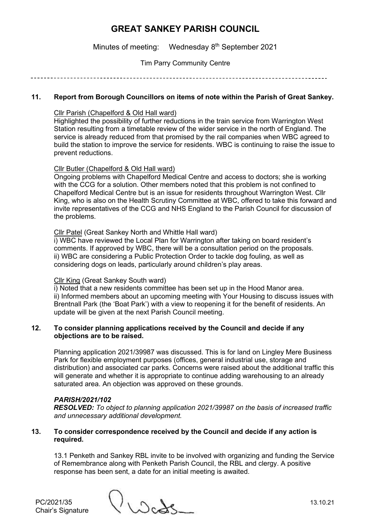Minutes of meeting: Wednesday 8<sup>th</sup> September 2021

Tim Parry Community Centre

## **11. Report from Borough Councillors on items of note within the Parish of Great Sankey.**

### Cllr Parish (Chapelford & Old Hall ward)

Highlighted the possibility of further reductions in the train service from Warrington West Station resulting from a timetable review of the wider service in the north of England. The service is already reduced from that promised by the rail companies when WBC agreed to build the station to improve the service for residents. WBC is continuing to raise the issue to prevent reductions.

#### Cllr Butler (Chapelford & Old Hall ward)

Ongoing problems with Chapelford Medical Centre and access to doctors; she is working with the CCG for a solution. Other members noted that this problem is not confined to Chapelford Medical Centre but is an issue for residents throughout Warrington West. Cllr King, who is also on the Health Scrutiny Committee at WBC, offered to take this forward and invite representatives of the CCG and NHS England to the Parish Council for discussion of the problems.

#### Cllr Patel (Great Sankey North and Whittle Hall ward)

i) WBC have reviewed the Local Plan for Warrington after taking on board resident's comments. If approved by WBC, there will be a consultation period on the proposals. ii) WBC are considering a Public Protection Order to tackle dog fouling, as well as considering dogs on leads, particularly around children's play areas.

#### Cllr King (Great Sankey South ward)

i) Noted that a new residents committee has been set up in the Hood Manor area. ii) Informed members about an upcoming meeting with Your Housing to discuss issues with Brentnall Park (the 'Boat Park') with a view to reopening it for the benefit of residents. An update will be given at the next Parish Council meeting.

## **12. To consider planning applications received by the Council and decide if any objections are to be raised.**

Planning application 2021/39987 was discussed. This is for land on Lingley Mere Business Park for flexible employment purposes (offices, general industrial use, storage and distribution) and associated car parks. Concerns were raised about the additional traffic this will generate and whether it is appropriate to continue adding warehousing to an already saturated area. An objection was approved on these grounds.

## *PARISH/2021/102*

*RESOLVED: To object to planning application 2021/39987 on the basis of increased traffic and unnecessary additional development.*

#### **13. To consider correspondence received by the Council and decide if any action is required.**

13.1 Penketh and Sankey RBL invite to be involved with organizing and funding the Service of Remembrance along with Penketh Parish Council, the RBL and clergy. A positive response has been sent, a date for an initial meeting is awaited.

PC/2021/35 13.10.21